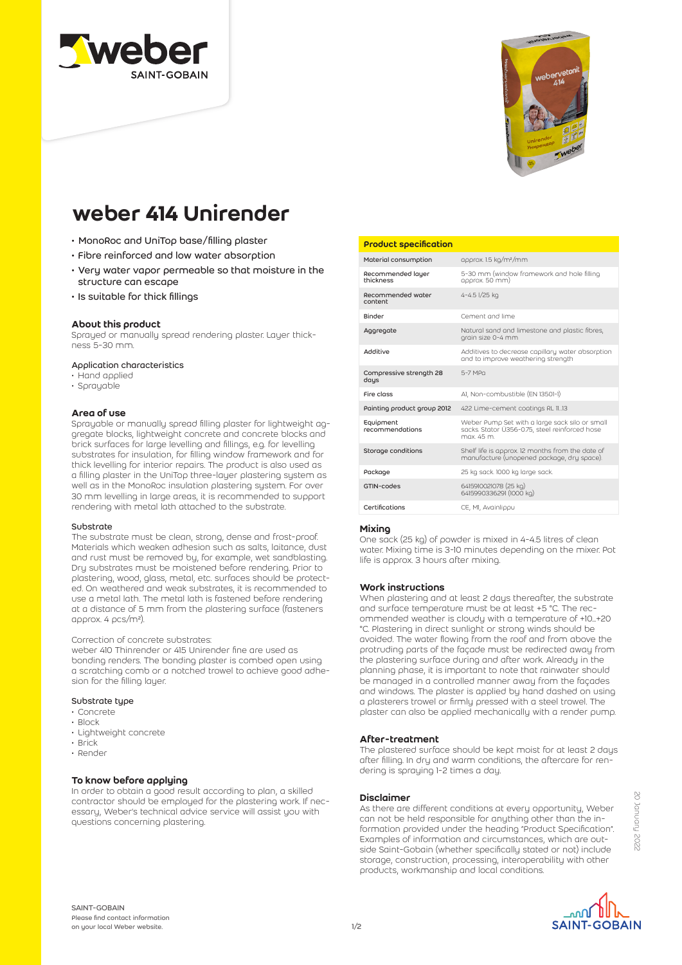



# weber 414 Unirender

- MonoRoc and UniTop base/filling plaster
- Fibre reinforced and low water absorption
- Very water vapor permeable so that moisture in the structure can escape
- Is suitable for thick fillings

## About this product

Sprayed or manually spread rendering plaster. Layer thickness 5-30 mm.

## Application characteristics

- Hand applied
- Sprayable

## Area of use

Sprayable or manually spread filling plaster for lightweight aggregate blocks, lightweight concrete and concrete blocks and brick surfaces for large levelling and fillings, e.g. for levelling substrates for insulation, for filling window framework and for thick levelling for interior repairs. The product is also used as a filling plaster in the UniTop three-layer plastering system as well as in the MonoRoc insulation plastering system. For over 30 mm levelling in large areas, it is recommended to support rendering with metal lath attached to the substrate.

#### Substrate

The substrate must be clean, strong, dense and frost-proof. Materials which weaken adhesion such as salts, laitance, dust and rust must be removed by, for example, wet sandblasting. Dry substrates must be moistened before rendering. Prior to plastering, wood, glass, metal, etc. surfaces should be protected. On weathered and weak substrates, it is recommended to use a metal lath. The metal lath is fastened before rendering at a distance of 5 mm from the plastering surface (fasteners approx. 4 pcs/m²).

## Correction of concrete substrates:

weber 410 Thinrender or 415 Unirender fine are used as bonding renders. The bonding plaster is combed open using a scratching comb or a notched trowel to achieve good adhesion for the filling layer.

## Substrate type

- Concrete
- Block
- Lightweight concrete
- Brick • Render
- 

## To know before applying

In order to obtain a good result according to plan, a skilled contractor should be employed for the plastering work. If necessary, Weber's technical advice service will assist you with questions concerning plastering.

## Product specification

| approx. 1.5 kg/m <sup>2</sup> /mm                                                                            |
|--------------------------------------------------------------------------------------------------------------|
| 5-30 mm (window framework and hole filling<br>approx. 50 mm)                                                 |
| 4-4.5 l/25 kg                                                                                                |
| Cement and lime                                                                                              |
| Natural sand and limestone and plastic fibres,<br>grain size 0-4 mm                                          |
| Additives to decrease capillary water absorption<br>and to improve weathering strength                       |
| 5-7 MPg                                                                                                      |
| AI, Non-combustible (EN 13501-1)                                                                             |
| 422 Lime-cement coatings RL 1113                                                                             |
| Weber Pump Set with a large sack silo or small<br>sacks. Stator Ü356-0.75, steel reinforced hose<br>max 45 m |
| Shelf life is approx. 12 months from the date of<br>manufacture (unopened package, dry space).               |
| 25 kg sack 1000 kg large sack.                                                                               |
| 6415910021078 (25 kg)<br>6415990336291 (1000 kg)                                                             |
| CE, MI, Avainlippu                                                                                           |
|                                                                                                              |

## Mixing

One sack (25 kg) of powder is mixed in 4-4.5 litres of clean water. Mixing time is 3-10 minutes depending on the mixer. Pot life is approx. 3 hours after mixing.

## Work instructions

When plastering and at least 2 days thereafter, the substrate and surface temperature must be at least +5 °C. The recommended weather is cloudy with a temperature of +10...+20 °C. Plastering in direct sunlight or strong winds should be avoided. The water flowing from the roof and from above the protruding parts of the façade must be redirected away from the plastering surface during and after work. Already in the planning phase, it is important to note that rainwater should be managed in a controlled manner away from the façades and windows. The plaster is applied by hand dashed on using a plasterers trowel or firmly pressed with a steel trowel. The plaster can also be applied mechanically with a render pump.

## After-treatment

The plastered surface should be kept moist for at least 2 days after filling. In dry and warm conditions, the aftercare for rendering is spraying 1-2 times a day.

## Disclaimer

As there are different conditions at every opportunity, Weber can not be held responsible for anything other than the information provided under the heading "Product Specification". Examples of information and circumstances, which are outside Saint-Gobain (whether specifically stated or not) include storage, construction, processing, interoperability with other products, workmanship and local conditions.

ا∩مہ **SAINT-GOBAIN** 

SAINT-GOBAIN Please find contact information on your local Weber website.